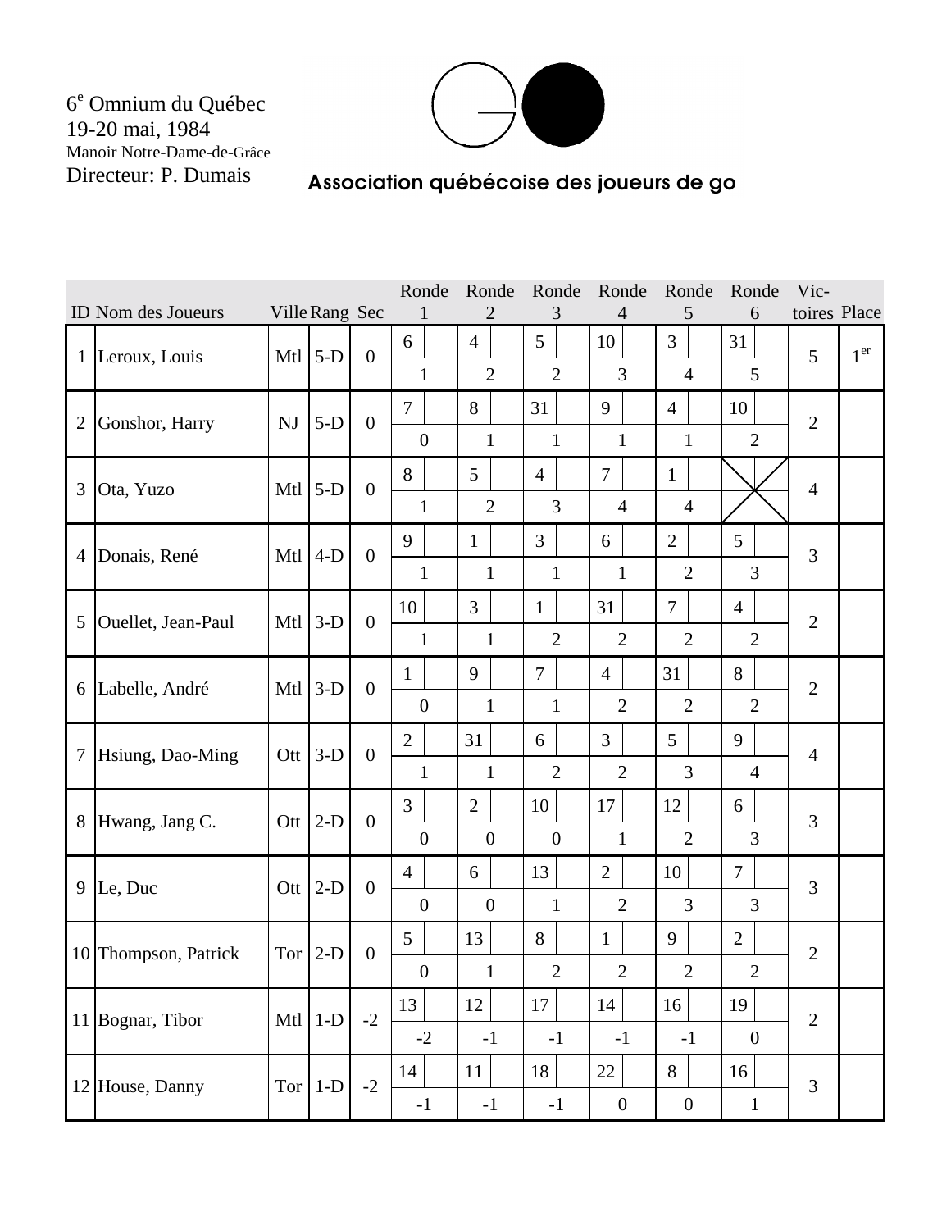6<sup>e</sup> Omnium du Québec 19-20 mai, 1984 Manoir Notre-Dame-de-Grâce Directeur: P. Dumais



## Association québécoise des joueurs de go

|                |                      |           |                |                  | Ronde            | Ronde          | Ronde          | Ronde            | Ronde            | Ronde            | Vic-           |                 |
|----------------|----------------------|-----------|----------------|------------------|------------------|----------------|----------------|------------------|------------------|------------------|----------------|-----------------|
|                | ID Nom des Joueurs   |           | Ville Rang Sec |                  |                  | 2              | 3              | 4                | 5                | 6                | toires Place   |                 |
| $\mathbf{1}$   | Leroux, Louis        | Mtl       | $5-D$          | $\mathbf{0}$     | 6                | $\overline{4}$ | 5              | 10               | 3                | 31               | 5              | 1 <sup>er</sup> |
|                |                      |           |                |                  | $\mathbf{1}$     | $\overline{2}$ | $\overline{2}$ | $\overline{3}$   | $\overline{4}$   | 5                |                |                 |
| $\overline{2}$ | Gonshor, Harry       | <b>NJ</b> | $5-D$          | $\overline{0}$   | $\tau$           | 8              | 31             | 9                | $\overline{4}$   | 10               | $\overline{2}$ |                 |
|                |                      |           |                |                  | $\boldsymbol{0}$ | $\mathbf{1}$   | $\mathbf{1}$   | $\mathbf{1}$     | $\mathbf{1}$     | $\overline{2}$   |                |                 |
| 3              | Ota, Yuzo            | Mtl       | $5-D$          | $\mathbf{0}$     | 8                | 5              | $\overline{4}$ | $\overline{7}$   | $\mathbf{1}$     |                  | $\overline{4}$ |                 |
|                |                      |           |                |                  | $\mathbf{1}$     | $\overline{2}$ | 3              | $\overline{4}$   | $\overline{4}$   |                  |                |                 |
|                | Donais, René         | Mtl       | $4-D$          | $\overline{0}$   | 9                | $\mathbf{1}$   | $\overline{3}$ | 6                | $\overline{2}$   | $5\overline{)}$  | 3              |                 |
| $\overline{4}$ |                      |           |                |                  | $\mathbf{1}$     | $\mathbf{1}$   | $\mathbf{1}$   | $\mathbf{1}$     | $\overline{2}$   | 3                |                |                 |
| 5              | Ouellet, Jean-Paul   | Mtl       | $3-D$          | $\overline{0}$   | 10               | $\overline{3}$ | $\mathbf{1}$   | 31               | $\overline{7}$   | $\overline{4}$   | $\overline{2}$ |                 |
|                |                      |           |                |                  | $\mathbf{1}$     | 1              | $\overline{2}$ | $\overline{2}$   | $\overline{2}$   | $\overline{2}$   |                |                 |
|                | 6 Labelle, André     | Mtl       | $3-D$          | $\overline{0}$   | $\mathbf{1}$     | 9              | $\overline{7}$ | $\overline{4}$   | 31               | 8                | $\overline{2}$ |                 |
|                |                      |           |                |                  | $\boldsymbol{0}$ | $\mathbf{1}$   | $\mathbf{1}$   | $\overline{2}$   | $\overline{2}$   | $\overline{2}$   |                |                 |
| 7              |                      | Ott       | $3-D$          | $\overline{0}$   | $\overline{2}$   | 31             | 6              | $\overline{3}$   | 5                | 9                | $\overline{4}$ |                 |
|                | Hsiung, Dao-Ming     |           |                |                  | $\mathbf{1}$     | $\mathbf{1}$   | $\overline{2}$ | $\overline{2}$   | 3                | $\overline{4}$   |                |                 |
| 8              | Hwang, Jang C.       | Ott       | $2-D$          | $\overline{0}$   | $\overline{3}$   | $\overline{2}$ | 10             | 17               | 12               | 6                | 3              |                 |
|                |                      |           |                |                  | $\boldsymbol{0}$ | $\overline{0}$ | $\overline{0}$ | $\mathbf{1}$     | $\overline{2}$   | 3                |                |                 |
| 9              | Le, Duc              | Ott       | $2-D$          | $\overline{0}$   | $\overline{4}$   | 6              | 13             | $\overline{2}$   | 10               | $\overline{7}$   | 3              |                 |
|                |                      |           |                |                  | $\overline{0}$   | $\overline{0}$ | $\mathbf{1}$   | $\overline{2}$   | 3                | 3                |                |                 |
|                | 10 Thompson, Patrick | Tor       | $2-D$          | $\boldsymbol{0}$ | $5\overline{)}$  | 13             | 8              | $\mathbf{1}$     | 9                | $\overline{2}$   | $\overline{2}$ |                 |
|                |                      |           |                |                  | $\boldsymbol{0}$ | $\mathbf{1}$   | $\overline{c}$ | $\sqrt{2}$       | $\overline{2}$   | $\boldsymbol{2}$ |                |                 |
|                | 11 Bognar, Tibor     | Mtl       | $1-D$          | $-2$             | 13               | 12             | 17             | 14               | 16               | 19               | $\overline{2}$ |                 |
|                |                      |           |                |                  | $-2$             | $-1$           | $-1$           | $-1$             | $-1$             | $\boldsymbol{0}$ |                |                 |
|                | 12 House, Danny      | Tor       | $1-D$          | $-2$             | 14               | 11             | 18             | 22               | 8                | 16               | 3              |                 |
|                |                      |           |                |                  | $-1$             | $-1$           | $-1$           | $\boldsymbol{0}$ | $\boldsymbol{0}$ | $\mathbf{1}$     |                |                 |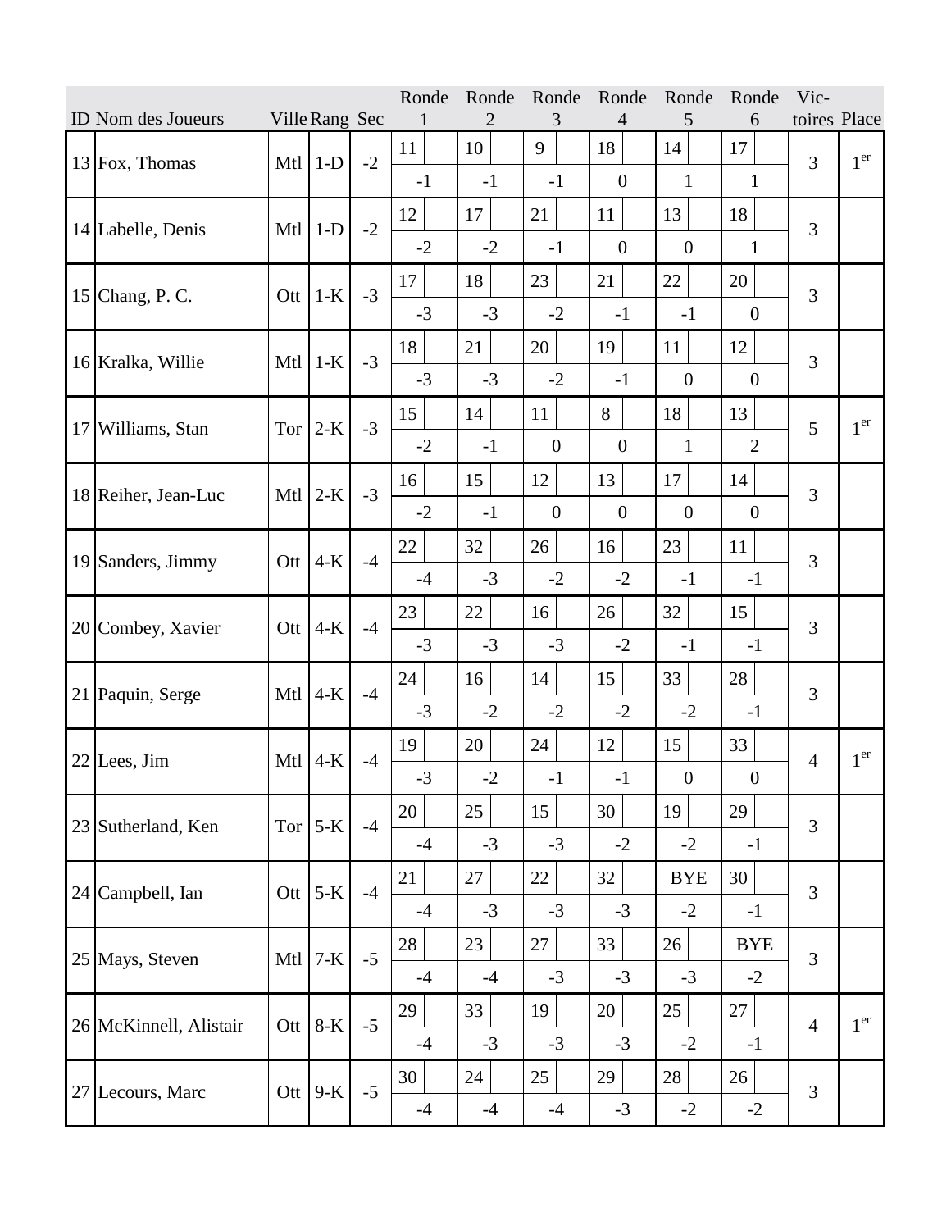|    |                        |     |                |      | Ronde | Ronde | Ronde            | Ronde            | Ronde          | Ronde            | Vic-           |                 |
|----|------------------------|-----|----------------|------|-------|-------|------------------|------------------|----------------|------------------|----------------|-----------------|
|    | ID Nom des Joueurs     |     | Ville Rang Sec |      |       | 2     | 3                | 4                | 5              | 6                | toires Place   |                 |
|    | $13$ Fox, Thomas       | Mtl | $1-D$          | $-2$ | 11    | 10    | 9                | 18               | 14             | 17               | 3              | 1 <sup>er</sup> |
|    |                        |     |                |      | $-1$  | $-1$  | $-1$             | $\boldsymbol{0}$ | $\mathbf{1}$   | $\mathbf{1}$     |                |                 |
|    |                        |     | $1-D$          |      | 12    | 17    | 21               | 11               | 13             | 18               | 3              |                 |
|    | 14 Labelle, Denis      | Mtl |                | $-2$ | $-2$  | $-2$  | $-1$             | $\boldsymbol{0}$ | $\overline{0}$ | 1                |                |                 |
|    | 15 Chang, P. C.        | Ott | $1-K$          | $-3$ | 17    | 18    | 23               | 21               | 22             | 20               | 3              |                 |
|    |                        |     |                |      | $-3$  | $-3$  | $-2$             | $-1$             | $-1$           | $\overline{0}$   |                |                 |
|    |                        |     | $1-K$          | $-3$ | 18    | 21    | 20               | 19               | 11             | 12               | 3              |                 |
|    | 16 Kralka, Willie      | Mtl |                |      | $-3$  | $-3$  | $-2$             | $-1$             | $\overline{0}$ | $\overline{0}$   |                |                 |
|    |                        |     |                |      | 15    | 14    | 11               | 8                | 18             | 13               | 5              | 1 <sup>er</sup> |
|    | 17 Williams, Stan      | Tor | $2-K$          | $-3$ | $-2$  | $-1$  | $\boldsymbol{0}$ | $\boldsymbol{0}$ | $\mathbf{1}$   | $\overline{2}$   |                |                 |
|    |                        |     |                | $-3$ | 16    | 15    | 12               | 13               | 17             | 14               | 3              |                 |
|    | 18 Reiher, Jean-Luc    | Mtl | $2-K$          |      | $-2$  | $-1$  | $\overline{0}$   | $\mathbf{0}$     | $\overline{0}$ | $\boldsymbol{0}$ |                |                 |
|    |                        |     |                | $-4$ | 22    | 32    | 26               | 16               | 23             | 11               | 3              |                 |
| 19 | Sanders, Jimmy         | Ott | $4-K$          |      | $-4$  | $-3$  | $-2$             | $-2$             | $-1$           | $-1$             |                |                 |
|    |                        |     | $4-K$          | $-4$ | 23    | 22    | 16               | 26               | 32             | 15               | 3              |                 |
|    | 20 Combey, Xavier      | Ott |                |      | $-3$  | $-3$  | $-3$             | $-2$             | $-1$           | $-1$             |                |                 |
|    | 21 Paquin, Serge       |     | $4-K$          | $-4$ | 24    | 16    | 14               | 15               | 33             | 28               | 3              |                 |
|    |                        | Mtl |                |      | $-3$  | $-2$  | $-2$             | $-2$             | $-2$           | $-1$             |                |                 |
|    | $22$ Lees, Jim         | Mtl | $4-K$          | $-4$ | 19    | 20    | 24               | 12               | 15             | 33               | $\overline{4}$ | 1 <sup>er</sup> |
|    |                        |     |                |      | $-3$  | $-2$  | $-1$             | $-1$             | $\mathbf{0}$   | $\boldsymbol{0}$ |                |                 |
|    | 23 Sutherland, Ken     |     | Tor $5-K$      | $-4$ | 20    | 25    | 15               | 30               | 19             | 29               | 3              |                 |
|    |                        |     |                |      | $-4$  | $-3$  | $-3$             | $-2$             | $-2$           | $-1$             |                |                 |
|    |                        |     |                | $-4$ | 21    | 27    | 22               | 32               | <b>BYE</b>     | 30               | 3              |                 |
|    | 24 Campbell, Ian       |     | Ott $5-K$      |      | $-4$  | $-3$  | $-3$             | $-3$             | $-2$           | $-1$             |                |                 |
|    |                        |     |                |      | 28    | 23    | 27               | 33               | 26             | <b>BYE</b>       |                |                 |
|    | 25 Mays, Steven        | Mtl | $7-K$          | $-5$ | $-4$  | $-4$  | $-3$             | $-3$             | $-3$           | $-2$             | 3              |                 |
|    |                        |     |                |      |       |       |                  |                  |                |                  |                |                 |
|    | 26 McKinnell, Alistair |     | Ott $8-K$      | $-5$ | 29    | 33    | 19               | 20               | 25             | 27               | $\overline{4}$ | 1 <sup>er</sup> |
|    |                        |     |                |      | $-4$  | $-3$  | $-3$             | $-3$             | $-2$           | $-1$             |                |                 |
|    | 27 Lecours, Marc       |     | Ott $9-K$      | $-5$ | 30    | 24    | 25               | 29               | 28             | 26               | 3              |                 |
|    |                        |     |                |      | $-4$  | $-4$  | $-4$             | $-3$             | $-2$           | $-2$             |                |                 |